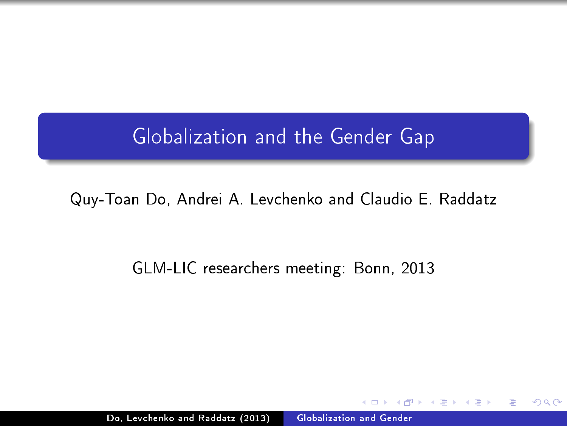# Globalization and the Gender Gap

### Quy-Toan Do, Andrei A. Levchenko and Claudio E. Raddatz

#### GLM-LIC researchers meeting: Bonn, 2013

<span id="page-0-0"></span>Do, Levchenko and Raddatz (2013) [Globalization and Gender](#page-13-0)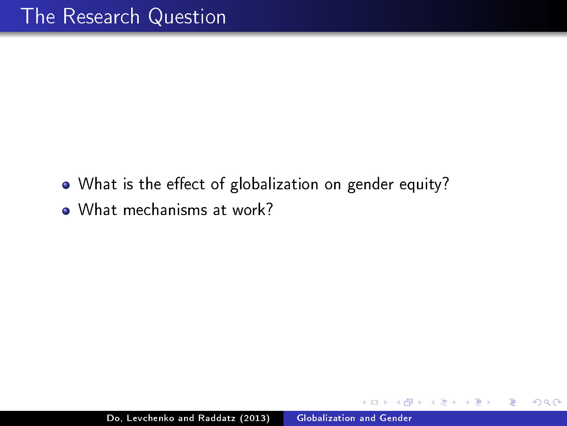- What is the effect of globalization on gender equity?
- What mechanisms at work?

 $\Omega$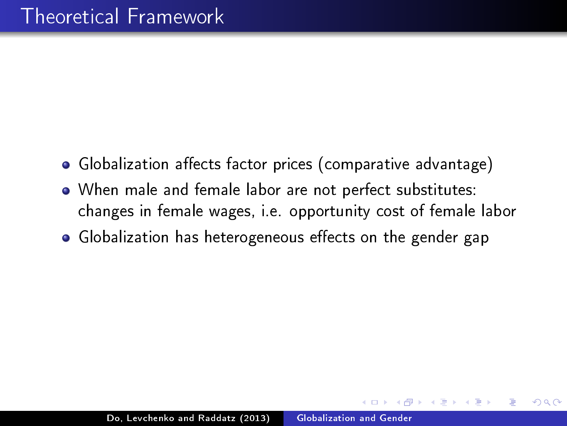- Globalization affects factor prices (comparative advantage)
- When male and female labor are not perfect substitutes: changes in female wages, i.e. opportunity cost of female labor
- Globalization has heterogeneous effects on the gender gap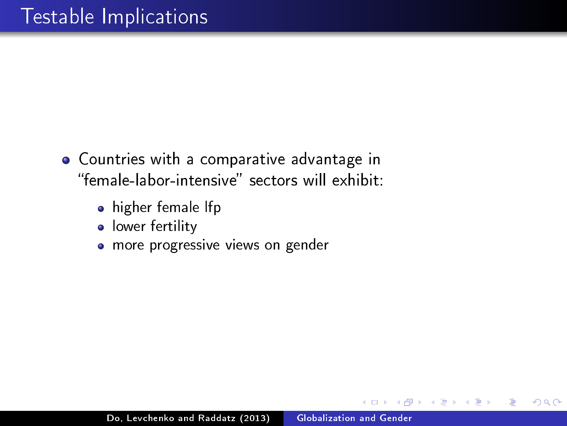- Countries with a comparative advantage in "female-labor-intensive" sectors will exhibit
	- **•** higher female lfp
	- **·** lower fertility
	- **·** more progressive views on gender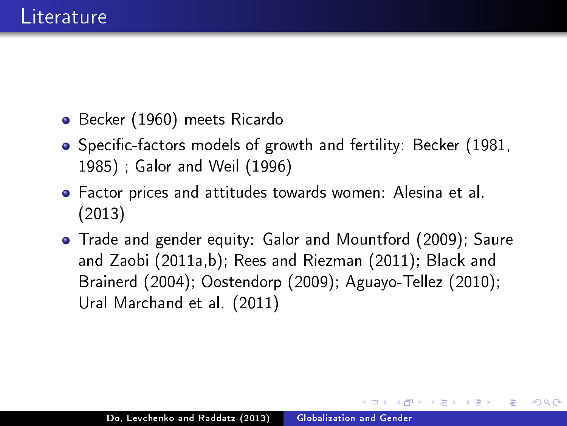- Becker (1960) meets Ricardo
- Specific-factors models of growth and fertility: Becker (1981, 1985) ; Galor and Weil (1996)
- Factor prices and attitudes towards women: Alesina et al. (2013)
- Trade and gender equity: Galor and Mountford (2009); Saure and Zaobi (2011a,b); Rees and Riezman (2011); Black and Brainerd (2004); Oostendorp (2009); Aguayo-Tellez (2010); Ural Marchand et al. (2011)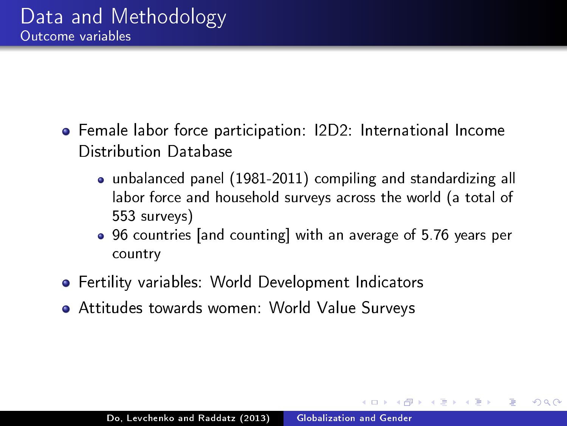- Female labor force participation: I2D2: International Income Distribution Database
	- unbalanced panel (1981-2011) compiling and standardizing all labor force and household surveys across the world (a total of 553 surveys)
	- 96 countries [and counting] with an average of 5.76 years per country

つくへ

- Fertility variables: World Development Indicators
- Attitudes towards women: World Value Surveys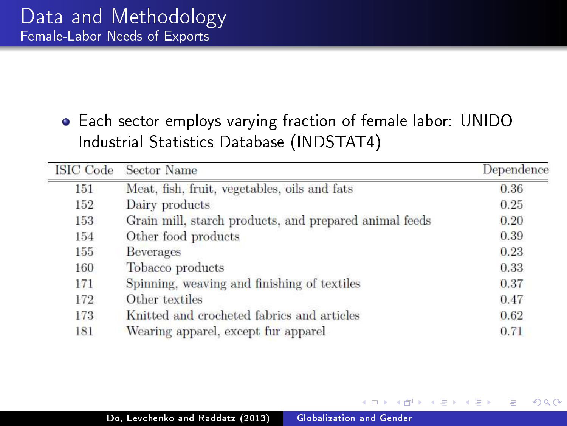### Each sector employs varying fraction of female labor: UNIDO Industrial Statistics Database (INDSTAT4)

| <b>ISIC Code</b> | Sector Name                                            | Dependence |
|------------------|--------------------------------------------------------|------------|
| 151              | Meat, fish, fruit, vegetables, oils and fats           | 0.36       |
| 152              | Dairy products                                         | 0.25       |
| 153              | Grain mill, starch products, and prepared animal feeds | 0.20       |
| 154              | Other food products                                    | 0.39       |
| 155              | <b>Beverages</b>                                       | 0.23       |
| 160              | Tobacco products                                       | 0.33       |
| 171              | Spinning, weaving and finishing of textiles            | 0.37       |
| 172              | Other textiles                                         | 0.47       |
| 173              | Knitted and crocheted fabrics and articles             | 0.62       |
| 181              | Wearing apparel, except fur apparel                    | 0.71       |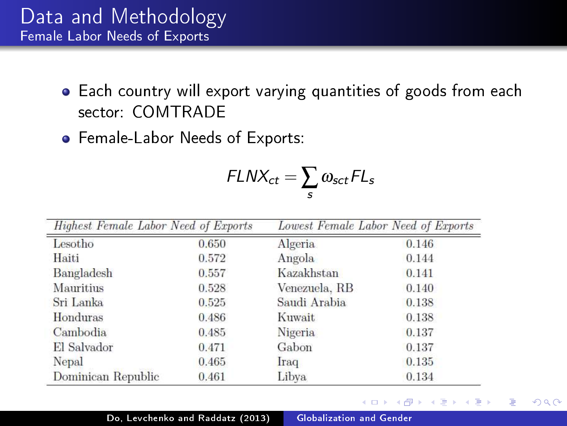- Each country will export varying quantities of goods from each sector: COMTRADE
- Female-Labor Needs of Exports:

$$
FLNX_{ct} = \sum_{s} \omega_{sct} FL_{s}
$$

| Highest Female Labor Need of Exports |       | Lowest Female Labor Need of Exports |       |
|--------------------------------------|-------|-------------------------------------|-------|
| Lesotho                              | 0.650 | Algeria                             | 0.146 |
| Haiti                                | 0.572 | Angola                              | 0.144 |
| Bangladesh                           | 0.557 | Kazakhstan                          | 0.141 |
| Mauritius                            | 0.528 | Venezuela, RB                       | 0.140 |
| Sri Lanka                            | 0.525 | Saudi Arabia                        | 0.138 |
| Honduras                             | 0.486 | Kuwait                              | 0.138 |
| Cambodia                             | 0.485 | Nigeria                             | 0.137 |
| El Salvador                          | 0.471 | Gabon                               | 0.137 |
| Nepal                                | 0.465 | Iraq                                | 0.135 |
| Dominican Republic                   | 0.461 | Libya                               | 0.134 |

 $200$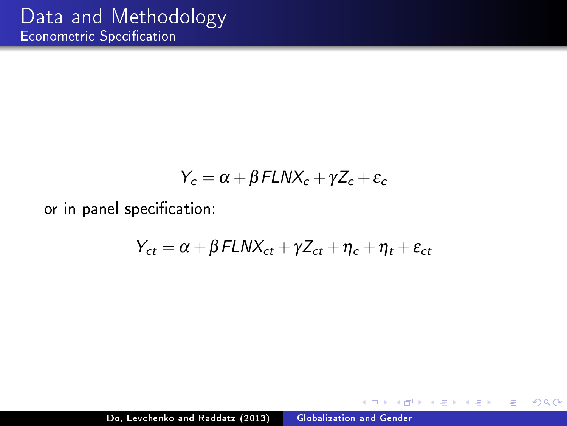$$
Y_c = \alpha + \beta FLNX_c + \gamma Z_c + \epsilon_c
$$

or in panel specification:

$$
Y_{ct} = \alpha + \beta FLNX_{ct} + \gamma Z_{ct} + \eta_c + \eta_t + \varepsilon_{ct}
$$

 $\overline{a}$ 

 $299$ 

э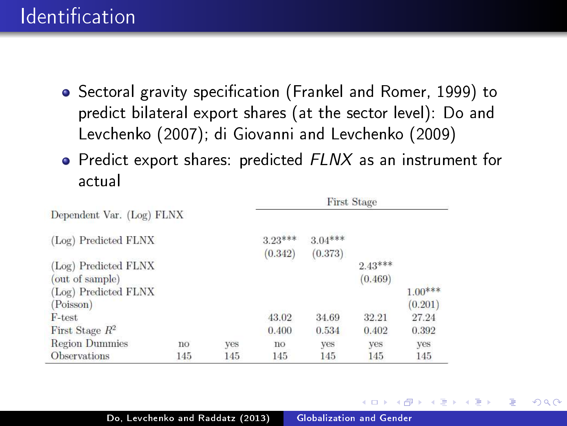# **Identification**

- Sectoral gravity specification (Frankel and Romer, 1999) to predict bilateral export shares (at the sector level): Do and Levchenko (2007); di Giovanni and Levchenko (2009)
- **•** Predict export shares: predicted FLNX as an instrument for actual

|                           |     | <b>First Stage</b> |           |           |           |           |
|---------------------------|-----|--------------------|-----------|-----------|-----------|-----------|
| Dependent Var. (Log) FLNX |     |                    |           |           |           |           |
| (Log) Predicted FLNX      |     |                    | $3.23***$ | $3.04***$ |           |           |
|                           |     |                    | (0.342)   | (0.373)   |           |           |
| (Log) Predicted FLNX      |     |                    |           |           | $2.43***$ |           |
| (out of sample)           |     |                    |           |           | (0.469)   |           |
| (Log) Predicted FLNX      |     |                    |           |           |           | $1.00***$ |
| (Poisson)                 |     |                    |           |           |           | (0.201)   |
| $F$ -test                 |     |                    | 43.02     | 34.69     | 32.21     | 27.24     |
| First Stage $R^2$         |     |                    | 0.400     | 0.534     | 0.402     | 0.392     |
| <b>Region Dummies</b>     | no  | yes                | no        | ves       | yes       | yes       |
| <b>Observations</b>       | 145 | 145                | 145       | 145       | 145       | 145       |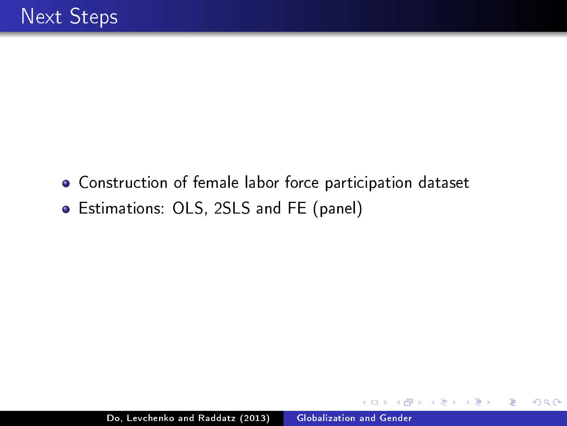Construction of female labor force participation dataset Estimations: OLS, 2SLS and FE (panel)

つくへ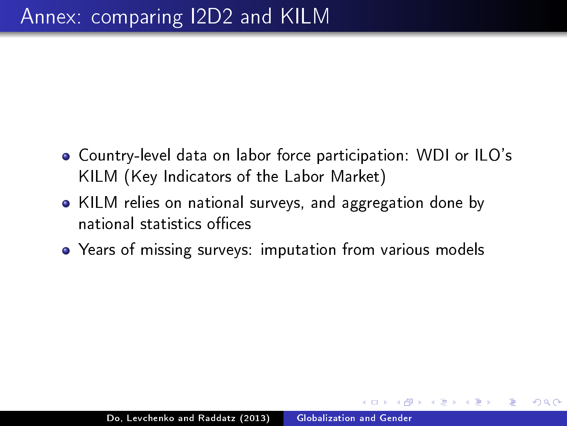- Country-level data on labor force participation: WDI or ILO's KILM (Key Indicators of the Labor Market)
- KILM relies on national surveys, and aggregation done by national statistics offices
- Years of missing surveys: imputation from various models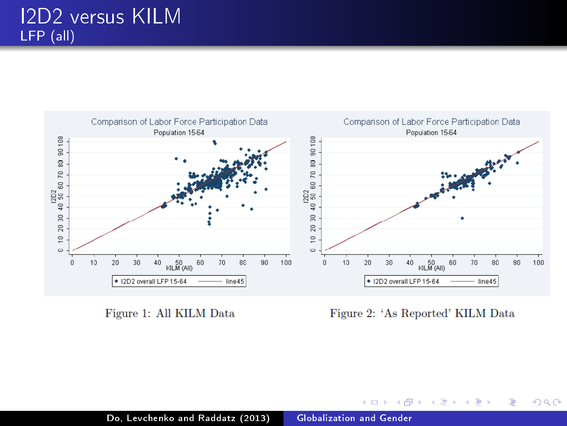

Figure 1: All KILM Data

Figure 2: 'As Reported' KILM Data

イロメ イ母メ イヨメ イヨメ

つくへ

∍